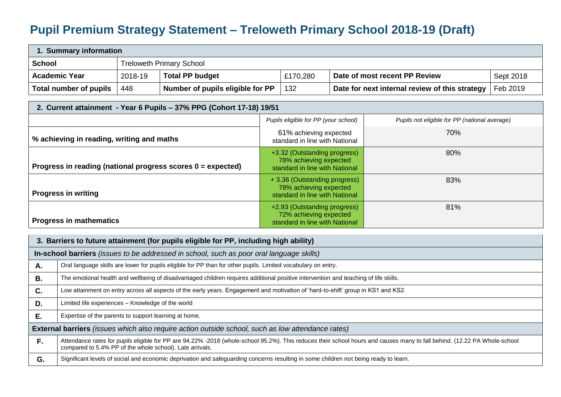## **Pupil Premium Strategy Statement – Treloweth Primary School 2018-19 (Draft)**

| 1. Summary information |                          |                                  |          |                                                |           |  |
|------------------------|--------------------------|----------------------------------|----------|------------------------------------------------|-----------|--|
| School                 | Treloweth Primary School |                                  |          |                                                |           |  |
| <b>Academic Year</b>   | 2018-19                  | <b>Total PP budget</b>           | £170,280 | Date of most recent PP Review                  | Sept 2018 |  |
| Total number of pupils | 448                      | Number of pupils eligible for PP | 132      | Date for next internal review of this strategy | Feb 2019  |  |

| 2. Current attainment - Year 6 Pupils - 37% PPG (Cohort 17-18) 19/51 |                                                                                          |                                               |  |  |  |  |
|----------------------------------------------------------------------|------------------------------------------------------------------------------------------|-----------------------------------------------|--|--|--|--|
|                                                                      | Pupils eligible for PP (your school)                                                     | Pupils not eligible for PP (national average) |  |  |  |  |
| % achieving in reading, writing and maths                            | 61% achieving expected<br>standard in line with National                                 | 70%                                           |  |  |  |  |
| Progress in reading (national progress scores $0 = expected$ )       | +3.32 (Outstanding progress)<br>78% achieving expected<br>standard in line with National | 80%                                           |  |  |  |  |
| <b>Progress in writing</b>                                           | +3.36 (Outstanding progress)<br>78% achieving expected<br>standard in line with National | 83%                                           |  |  |  |  |
| <b>Progress in mathematics</b>                                       | +2.93 (Outstanding progress)<br>72% achieving expected<br>standard in line with National | 81%                                           |  |  |  |  |

| 3. Barriers to future attainment (for pupils eligible for PP, including high ability) |                                                                                                                                                                                                                                       |  |  |  |  |
|---------------------------------------------------------------------------------------|---------------------------------------------------------------------------------------------------------------------------------------------------------------------------------------------------------------------------------------|--|--|--|--|
|                                                                                       | In-school barriers (issues to be addressed in school, such as poor oral language skills)                                                                                                                                              |  |  |  |  |
| Α.                                                                                    | Oral language skills are lower for pupils eligible for PP than for other pupils. Limited vocabulary on entry.                                                                                                                         |  |  |  |  |
| В.                                                                                    | The emotional health and wellbeing of disadvantaged children requires additional positive intervention and teaching of life skills.                                                                                                   |  |  |  |  |
| C.                                                                                    | Low attainment on entry across all aspects of the early years. Engagement and motivation of 'hard-to-shift' group in KS1 and KS2.                                                                                                     |  |  |  |  |
| D.                                                                                    | Limited life experiences – Knowledge of the world                                                                                                                                                                                     |  |  |  |  |
| Ε.                                                                                    | Expertise of the parents to support learning at home.                                                                                                                                                                                 |  |  |  |  |
|                                                                                       | External barriers (issues which also require action outside school, such as low attendance rates)                                                                                                                                     |  |  |  |  |
| F.                                                                                    | Attendance rates for pupils eligible for PP are 94.22% -2018 (whole-school 95.2%). This reduces their school hours and causes many to fall behind. (12.22 PA Whole-school<br>compared to 5.4% PP of the whole school). Late arrivals. |  |  |  |  |
| G.                                                                                    | Significant levels of social and economic deprivation and safeguarding concerns resulting in some children not being ready to learn.                                                                                                  |  |  |  |  |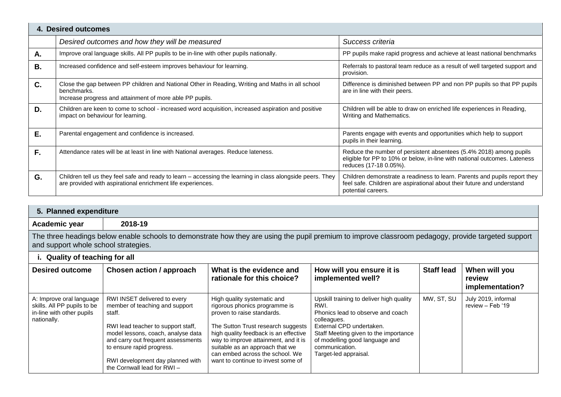|                | 4. Desired outcomes                                                                                                                                                         |                                                                                                                                                                           |  |  |  |  |  |
|----------------|-----------------------------------------------------------------------------------------------------------------------------------------------------------------------------|---------------------------------------------------------------------------------------------------------------------------------------------------------------------------|--|--|--|--|--|
|                | Desired outcomes and how they will be measured                                                                                                                              | Success criteria                                                                                                                                                          |  |  |  |  |  |
| Α.             | Improve oral language skills. All PP pupils to be in-line with other pupils nationally.                                                                                     | PP pupils make rapid progress and achieve at least national benchmarks                                                                                                    |  |  |  |  |  |
| Β.             | Increased confidence and self-esteem improves behaviour for learning.                                                                                                       | Referrals to pastoral team reduce as a result of well targeted support and<br>provision.                                                                                  |  |  |  |  |  |
| $\mathbf{C}$ . | Close the gap between PP children and National Other in Reading, Writing and Maths in all school<br>benchmarks.<br>Increase progress and attainment of more able PP pupils. | Difference is diminished between PP and non PP pupils so that PP pupils<br>are in line with their peers.                                                                  |  |  |  |  |  |
| D.             | Children are keen to come to school - increased word acquisition, increased aspiration and positive<br>impact on behaviour for learning.                                    | Children will be able to draw on enriched life experiences in Reading,<br>Writing and Mathematics.                                                                        |  |  |  |  |  |
| E.             | Parental engagement and confidence is increased.                                                                                                                            | Parents engage with events and opportunities which help to support<br>pupils in their learning.                                                                           |  |  |  |  |  |
| F.             | Attendance rates will be at least in line with National averages. Reduce lateness.                                                                                          | Reduce the number of persistent absentees (5.4% 2018) among pupils<br>eligible for PP to 10% or below, in-line with national outcomes. Lateness<br>reduces (17-18 0.05%). |  |  |  |  |  |
| G.             | Children tell us they feel safe and ready to learn - accessing the learning in class alongside peers. They<br>are provided with aspirational enrichment life experiences.   | Children demonstrate a readiness to learn. Parents and pupils report they<br>feel safe. Children are aspirational about their future and understand<br>potential careers. |  |  |  |  |  |

| 5. Planned expenditure                                                                                                                                                                      |         |  |  |  |
|---------------------------------------------------------------------------------------------------------------------------------------------------------------------------------------------|---------|--|--|--|
| Academic year                                                                                                                                                                               | 2018-19 |  |  |  |
| The three headings below enable schools to demonstrate how they are using the pupil premium to improve classroom pedagogy, provide targeted support<br>and support whole school strategies. |         |  |  |  |

## **i. Quality of teaching for all**

| <b>Desired outcome</b>                                                                              | Chosen action / approach                                                                                                                                                                                                                                                                  | What is the evidence and<br>rationale for this choice?                                                                                                                                                                                                                                                                        | How will you ensure it is<br>implemented well?                                                                                                                                                                                                         | <b>Staff lead</b> | When will you<br>review<br>implementation? |
|-----------------------------------------------------------------------------------------------------|-------------------------------------------------------------------------------------------------------------------------------------------------------------------------------------------------------------------------------------------------------------------------------------------|-------------------------------------------------------------------------------------------------------------------------------------------------------------------------------------------------------------------------------------------------------------------------------------------------------------------------------|--------------------------------------------------------------------------------------------------------------------------------------------------------------------------------------------------------------------------------------------------------|-------------------|--------------------------------------------|
| A: Improve oral language<br>skills. All PP pupils to be<br>in-line with other pupils<br>nationally. | RWI INSET delivered to every<br>member of teaching and support<br>staff.<br>RWI lead teacher to support staff,<br>model lessons, coach, analyse data<br>and carry out frequent assessments<br>to ensure rapid progress.<br>RWI development day planned with<br>the Cornwall lead for RWI- | High quality systematic and<br>rigorous phonics programme is<br>proven to raise standards.<br>The Sutton Trust research suggests<br>high quality feedback is an effective<br>way to improve attainment, and it is<br>suitable as an approach that we<br>can embed across the school. We<br>want to continue to invest some of | Upskill training to deliver high quality<br>RWI.<br>Phonics lead to observe and coach<br>colleagues.<br>External CPD undertaken.<br>Staff Meeting given to the importance<br>of modelling good language and<br>communication.<br>Target-led appraisal. | MW, ST, SU        | July 2019, informal<br>review - Feb '19    |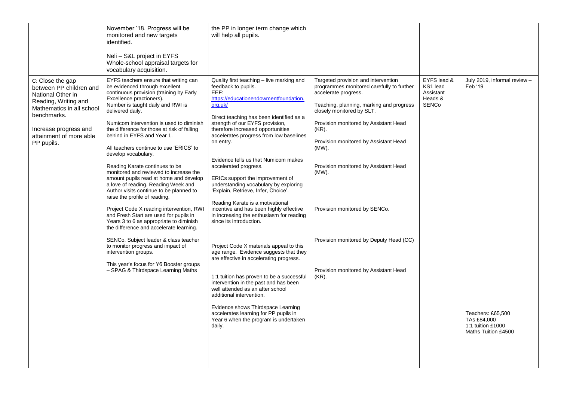|                                                                                                                                                                                                        | November '18. Progress will be<br>monitored and new targets<br>identified.<br>Neli - S&L project in EYFS<br>Whole-school appraisal targets for<br>vocabulary acquisition.                                                                                                                                                                                                                                                                                                                                                                                                                                                                                                                                                                                                                                                                                                                                                                                                                                      | the PP in longer term change which<br>will help all pupils.                                                                                                                                                                                                                                                                                                                                                                                                                                                                                                                                                                                                                                                                                                                                                                                                                                                                                                                                                                                                                 |                                                                                                                                                                                                                                                                                                                                                                                                                                                                          |                                                                 |                                                                                                                         |
|--------------------------------------------------------------------------------------------------------------------------------------------------------------------------------------------------------|----------------------------------------------------------------------------------------------------------------------------------------------------------------------------------------------------------------------------------------------------------------------------------------------------------------------------------------------------------------------------------------------------------------------------------------------------------------------------------------------------------------------------------------------------------------------------------------------------------------------------------------------------------------------------------------------------------------------------------------------------------------------------------------------------------------------------------------------------------------------------------------------------------------------------------------------------------------------------------------------------------------|-----------------------------------------------------------------------------------------------------------------------------------------------------------------------------------------------------------------------------------------------------------------------------------------------------------------------------------------------------------------------------------------------------------------------------------------------------------------------------------------------------------------------------------------------------------------------------------------------------------------------------------------------------------------------------------------------------------------------------------------------------------------------------------------------------------------------------------------------------------------------------------------------------------------------------------------------------------------------------------------------------------------------------------------------------------------------------|--------------------------------------------------------------------------------------------------------------------------------------------------------------------------------------------------------------------------------------------------------------------------------------------------------------------------------------------------------------------------------------------------------------------------------------------------------------------------|-----------------------------------------------------------------|-------------------------------------------------------------------------------------------------------------------------|
| C: Close the gap<br>between PP children and<br>National Other in<br>Reading, Writing and<br>Mathematics in all school<br>benchmarks.<br>Increase progress and<br>attainment of more able<br>PP pupils. | EYFS teachers ensure that writing can<br>be evidenced through excellent<br>continuous provision (training by Early<br>Excellence practioners).<br>Number is taught daily and RWI is<br>delivered daily.<br>Numicom intervention is used to diminish<br>the difference for those at risk of falling<br>behind in EYFS and Year 1.<br>All teachers continue to use 'ERICS' to<br>develop vocabulary.<br>Reading Karate continues to be<br>monitored and reviewed to increase the<br>amount pupils read at home and develop<br>a love of reading. Reading Week and<br>Author visits continue to be planned to<br>raise the profile of reading.<br>Project Code X reading intervention, RWI<br>and Fresh Start are used for pupils in<br>Years 3 to 6 as appropriate to diminish<br>the difference and accelerate learning.<br>SENCo, Subject leader & class teacher<br>to monitor progress and impact of<br>intervention groups.<br>This year's focus for Y6 Booster groups<br>- SPAG & Thirdspace Learning Maths | Quality first teaching - live marking and<br>feedback to pupils.<br>EEF:<br>https://educationendowmentfoundation.<br>org.uk/<br>Direct teaching has been identified as a<br>strength of our EYFS provision,<br>therefore increased opportunities<br>accelerates progress from low baselines<br>on entry.<br>Evidence tells us that Numicom makes<br>accelerated progress.<br>ERICs support the improvement of<br>understanding vocabulary by exploring<br>'Explain, Retrieve, Infer, Choice'.<br>Reading Karate is a motivational<br>incentive and has been highly effective<br>in increasing the enthusiasm for reading<br>since its introduction.<br>Project Code X materials appeal to this<br>age range. Evidence suggests that they<br>are effective in accelerating progress.<br>1:1 tuition has proven to be a successful<br>intervention in the past and has been<br>well attended as an after school<br>additional intervention.<br>Evidence shows Thirdspace Learning<br>accelerates learning for PP pupils in<br>Year 6 when the program is undertaken<br>daily. | Targeted provision and intervention<br>programmes monitored carefully to further<br>accelerate progress.<br>Teaching, planning, marking and progress<br>closely monitored by SLT.<br>Provision monitored by Assistant Head<br>(KR).<br>Provision monitored by Assistant Head<br>(MW).<br>Provision monitored by Assistant Head<br>$(MW)$ .<br>Provision monitored by SENCo.<br>Provision monitored by Deputy Head (CC)<br>Provision monitored by Assistant Head<br>(KR). | EYFS lead &<br>KS1 lead<br>Assistant<br>Heads &<br><b>SENCo</b> | July 2019, informal review -<br>Feb '19<br>Teachers: £65,500<br>TAs £84,000<br>1:1 tuition £1000<br>Maths Tuition £4500 |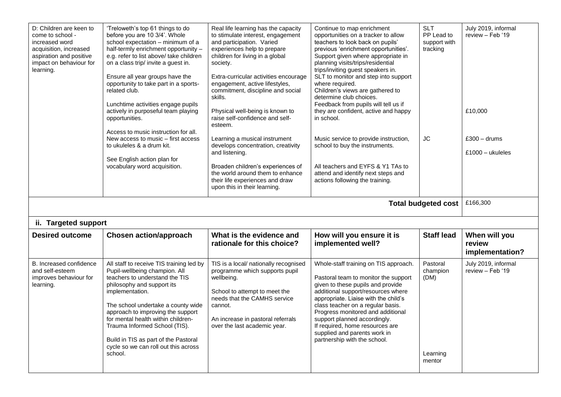| D: Children are keen to<br>come to school -<br>increased word<br>acquisition, increased<br>aspiration and positive<br>impact on behaviour for<br>learning. | 'Treloweth's top 61 things to do<br>before you are 10 3/4'. Whole<br>school expectation - minimum of a<br>half-termly enrichment opportunity -<br>e.g. refer to list above/ take children<br>on a class trip/ invite a guest in.<br>Ensure all year groups have the<br>opportunity to take part in a sports-<br>related club.<br>Lunchtime activities engage pupils<br>actively in purposeful team playing<br>opportunities.<br>Access to music instruction for all. | Real life learning has the capacity<br>to stimulate interest, engagement<br>and participation. Varied<br>experiences help to prepare<br>children for living in a global<br>society.<br>Extra-curricular activities encourage<br>engagement, active lifestyles,<br>commitment, discipline and social<br>skills.<br>Physical well-being is known to<br>raise self-confidence and self-<br>esteem. | Continue to map enrichment<br>opportunities on a tracker to allow<br>teachers to look back on pupils'<br>previous 'enrichment opportunities'.<br>Support given where appropriate in<br>planning visits/trips/residential<br>trips/inviting guest speakers in.<br>SLT to monitor and step into support<br>where required.<br>Children's views are gathered to<br>determine club choices.<br>Feedback from pupils will tell us if<br>they are confident, active and happy<br>in school. | <b>SLT</b><br>PP Lead to<br>support with<br>tracking | July 2019, informal<br>review - Feb '19<br>£10,000 |
|------------------------------------------------------------------------------------------------------------------------------------------------------------|----------------------------------------------------------------------------------------------------------------------------------------------------------------------------------------------------------------------------------------------------------------------------------------------------------------------------------------------------------------------------------------------------------------------------------------------------------------------|-------------------------------------------------------------------------------------------------------------------------------------------------------------------------------------------------------------------------------------------------------------------------------------------------------------------------------------------------------------------------------------------------|---------------------------------------------------------------------------------------------------------------------------------------------------------------------------------------------------------------------------------------------------------------------------------------------------------------------------------------------------------------------------------------------------------------------------------------------------------------------------------------|------------------------------------------------------|----------------------------------------------------|
|                                                                                                                                                            | New access to music – first access<br>to ukuleles & a drum kit.<br>See English action plan for<br>vocabulary word acquisition.                                                                                                                                                                                                                                                                                                                                       | Learning a musical instrument<br>develops concentration, creativity<br>and listening.<br>Broaden children's experiences of<br>the world around them to enhance<br>their life experiences and draw<br>upon this in their learning.                                                                                                                                                               | Music service to provide instruction,<br>school to buy the instruments.<br>All teachers and EYFS & Y1 TAs to<br>attend and identify next steps and<br>actions following the training.                                                                                                                                                                                                                                                                                                 | <b>JC</b>                                            | $£300 - drums$<br>$£1000 -$ ukuleles               |
| £166,300<br><b>Total budgeted cost</b>                                                                                                                     |                                                                                                                                                                                                                                                                                                                                                                                                                                                                      |                                                                                                                                                                                                                                                                                                                                                                                                 |                                                                                                                                                                                                                                                                                                                                                                                                                                                                                       |                                                      |                                                    |
|                                                                                                                                                            |                                                                                                                                                                                                                                                                                                                                                                                                                                                                      |                                                                                                                                                                                                                                                                                                                                                                                                 |                                                                                                                                                                                                                                                                                                                                                                                                                                                                                       |                                                      |                                                    |
| ii. Targeted support                                                                                                                                       |                                                                                                                                                                                                                                                                                                                                                                                                                                                                      |                                                                                                                                                                                                                                                                                                                                                                                                 |                                                                                                                                                                                                                                                                                                                                                                                                                                                                                       |                                                      |                                                    |
| <b>Desired outcome</b>                                                                                                                                     | <b>Chosen action/approach</b>                                                                                                                                                                                                                                                                                                                                                                                                                                        | What is the evidence and<br>rationale for this choice?                                                                                                                                                                                                                                                                                                                                          | How will you ensure it is<br>implemented well?                                                                                                                                                                                                                                                                                                                                                                                                                                        | <b>Staff lead</b>                                    | When will you<br>review<br>implementation?         |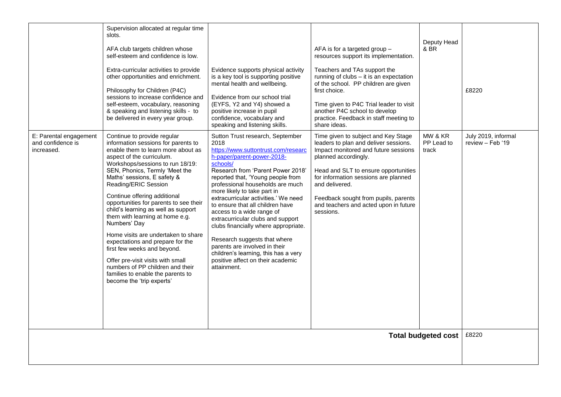|                                 | Supervision allocated at regular time                                                                                                                                                                                                                                                                                                                                                                                                                                                                                                                                                                                                                        |                                                                                                                                                                                                                                                                                                                                                                                                                                                                                                                                                                                       |                                                                                                                                                                                                                                                                                                                                  |                            |                     |
|---------------------------------|--------------------------------------------------------------------------------------------------------------------------------------------------------------------------------------------------------------------------------------------------------------------------------------------------------------------------------------------------------------------------------------------------------------------------------------------------------------------------------------------------------------------------------------------------------------------------------------------------------------------------------------------------------------|---------------------------------------------------------------------------------------------------------------------------------------------------------------------------------------------------------------------------------------------------------------------------------------------------------------------------------------------------------------------------------------------------------------------------------------------------------------------------------------------------------------------------------------------------------------------------------------|----------------------------------------------------------------------------------------------------------------------------------------------------------------------------------------------------------------------------------------------------------------------------------------------------------------------------------|----------------------------|---------------------|
|                                 | slots.<br>AFA club targets children whose<br>self-esteem and confidence is low.<br>Extra-curricular activities to provide<br>other opportunities and enrichment.<br>Philosophy for Children (P4C)<br>sessions to increase confidence and<br>self-esteem, vocabulary, reasoning<br>& speaking and listening skills - to<br>be delivered in every year group.                                                                                                                                                                                                                                                                                                  | Evidence supports physical activity<br>is a key tool is supporting positive<br>mental health and wellbeing.<br>Evidence from our school trial<br>(EYFS, Y2 and Y4) showed a<br>positive increase in pupil<br>confidence, vocabulary and                                                                                                                                                                                                                                                                                                                                               | AFA is for a targeted group -<br>resources support its implementation.<br>Teachers and TAs support the<br>running of clubs - it is an expectation<br>of the school. PP children are given<br>first choice.<br>Time given to P4C Trial leader to visit<br>another P4C school to develop<br>practice. Feedback in staff meeting to | Deputy Head<br>& BR        | £8220               |
| E: Parental engagement          | Continue to provide regular                                                                                                                                                                                                                                                                                                                                                                                                                                                                                                                                                                                                                                  | speaking and listening skills.<br>Sutton Trust research, September                                                                                                                                                                                                                                                                                                                                                                                                                                                                                                                    | share ideas.<br>Time given to subject and Key Stage                                                                                                                                                                                                                                                                              | MW & KR                    | July 2019, informal |
| and confidence is<br>increased. | information sessions for parents to<br>enable them to learn more about as<br>aspect of the curriculum.<br>Workshops/sessions to run 18/19:<br>SEN, Phonics, Termly 'Meet the<br>Maths' sessions, E safety &<br>Reading/ERIC Session<br>Continue offering additional<br>opportunities for parents to see their<br>child's learning as well as support<br>them with learning at home e.g.<br>Numbers' Day<br>Home visits are undertaken to share<br>expectations and prepare for the<br>first few weeks and beyond.<br>Offer pre-visit visits with small<br>numbers of PP children and their<br>families to enable the parents to<br>become the 'trip experts' | 2018<br>https://www.suttontrust.com/researc<br>h-paper/parent-power-2018-<br>schools/<br>Research from 'Parent Power 2018'<br>reported that, 'Young people from<br>professional households are much<br>more likely to take part in<br>extracurricular activities.' We need<br>to ensure that all children have<br>access to a wide range of<br>extracurricular clubs and support<br>clubs financially where appropriate.<br>Research suggests that where<br>parents are involved in their<br>children's learning, this has a very<br>positive affect on their academic<br>attainment. | leaders to plan and deliver sessions.<br>Impact monitored and future sessions<br>planned accordingly.<br>Head and SLT to ensure opportunities<br>for information sessions are planned<br>and delivered.<br>Feedback sought from pupils, parents<br>and teachers and acted upon in future<br>sessions.                            | PP Lead to<br>track        | review - Feb '19    |
|                                 |                                                                                                                                                                                                                                                                                                                                                                                                                                                                                                                                                                                                                                                              |                                                                                                                                                                                                                                                                                                                                                                                                                                                                                                                                                                                       |                                                                                                                                                                                                                                                                                                                                  | <b>Total budgeted cost</b> | £8220               |
|                                 |                                                                                                                                                                                                                                                                                                                                                                                                                                                                                                                                                                                                                                                              |                                                                                                                                                                                                                                                                                                                                                                                                                                                                                                                                                                                       |                                                                                                                                                                                                                                                                                                                                  |                            |                     |